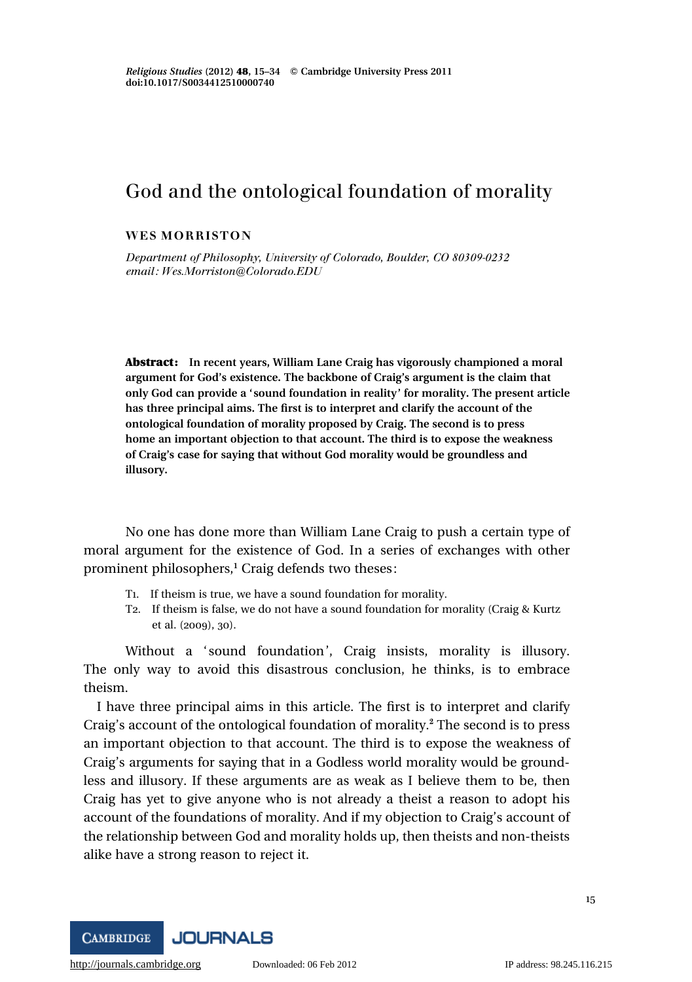# God and the ontological foundation of morality

# WES MORRISTON

Department of Philosophy, University of Colorado, Boulder, CO 80309-0232 email: Wes.Morriston@Colorado.EDU

Abstract: In recent years, William Lane Craig has vigorously championed a moral argument for God's existence. The backbone of Craig's argument is the claim that only God can provide a 'sound foundation in reality' for morality. The present article has three principal aims. The first is to interpret and clarify the account of the ontological foundation of morality proposed by Craig. The second is to press home an important objection to that account. The third is to expose the weakness of Craig's case for saying that without God morality would be groundless and illusory.

No one has done more than William Lane Craig to push a certain type of moral argument for the existence of God. In a series of exchanges with other prominent philosophers,<sup>1</sup> Craig defends two theses:

- T1. If theism is true, we have a sound foundation for morality.
- T2. If theism is false, we do not have a sound foundation for morality (Craig & Kurtz et al. (2009), 30).

Without a 'sound foundation', Craig insists, morality is illusory. The only way to avoid this disastrous conclusion, he thinks, is to embrace theism.

I have three principal aims in this article. The first is to interpret and clarify Craig's account of the ontological foundation of morality.<sup>2</sup> The second is to press an important objection to that account. The third is to expose the weakness of Craig's arguments for saying that in a Godless world morality would be groundless and illusory. If these arguments are as weak as I believe them to be, then Craig has yet to give anyone who is not already a theist a reason to adopt his account of the foundations of morality. And if my objection to Craig's account of the relationship between God and morality holds up, then theists and non-theists alike have a strong reason to reject it.

15

#### **CAMBRIDGE**



**JOURNALS**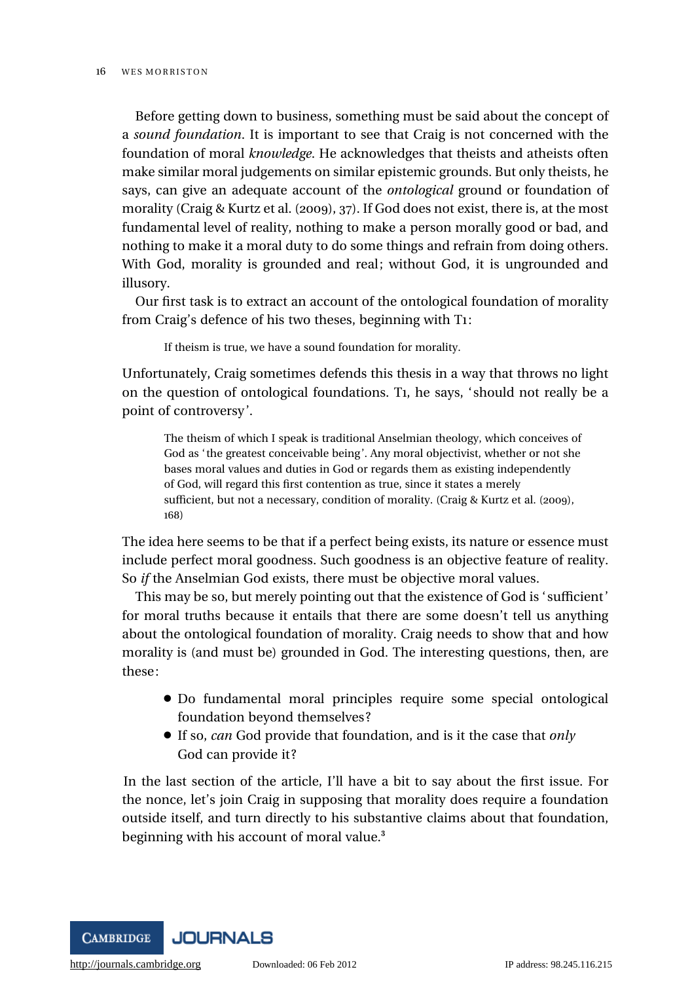Before getting down to business, something must be said about the concept of a sound foundation. It is important to see that Craig is not concerned with the foundation of moral knowledge. He acknowledges that theists and atheists often make similar moral judgements on similar epistemic grounds. But only theists, he says, can give an adequate account of the ontological ground or foundation of morality (Craig & Kurtz et al. (2009), 37). If God does not exist, there is, at the most fundamental level of reality, nothing to make a person morally good or bad, and nothing to make it a moral duty to do some things and refrain from doing others. With God, morality is grounded and real; without God, it is ungrounded and illusory.

Our first task is to extract an account of the ontological foundation of morality from Craig's defence of his two theses, beginning with T1:

If theism is true, we have a sound foundation for morality.

Unfortunately, Craig sometimes defends this thesis in a way that throws no light on the question of ontological foundations. T1, he says, 'should not really be a point of controversy'.

The theism of which I speak is traditional Anselmian theology, which conceives of God as ' the greatest conceivable being'. Any moral objectivist, whether or not she bases moral values and duties in God or regards them as existing independently of God, will regard this first contention as true, since it states a merely sufficient, but not a necessary, condition of morality. (Craig & Kurtz et al. (2009), 168)

The idea here seems to be that if a perfect being exists, its nature or essence must include perfect moral goodness. Such goodness is an objective feature of reality. So if the Anselmian God exists, there must be objective moral values.

This may be so, but merely pointing out that the existence of God is 'sufficient' for moral truths because it entails that there are some doesn't tell us anything about the ontological foundation of morality. Craig needs to show that and how morality is (and must be) grounded in God. The interesting questions, then, are these:

- ' Do fundamental moral principles require some special ontological foundation beyond themselves ?
- $\bullet$  If so, *can* God provide that foundation, and is it the case that *only* God can provide it?

In the last section of the article, I'll have a bit to say about the first issue. For the nonce, let's join Craig in supposing that morality does require a foundation outside itself, and turn directly to his substantive claims about that foundation, beginning with his account of moral value.<sup>3</sup>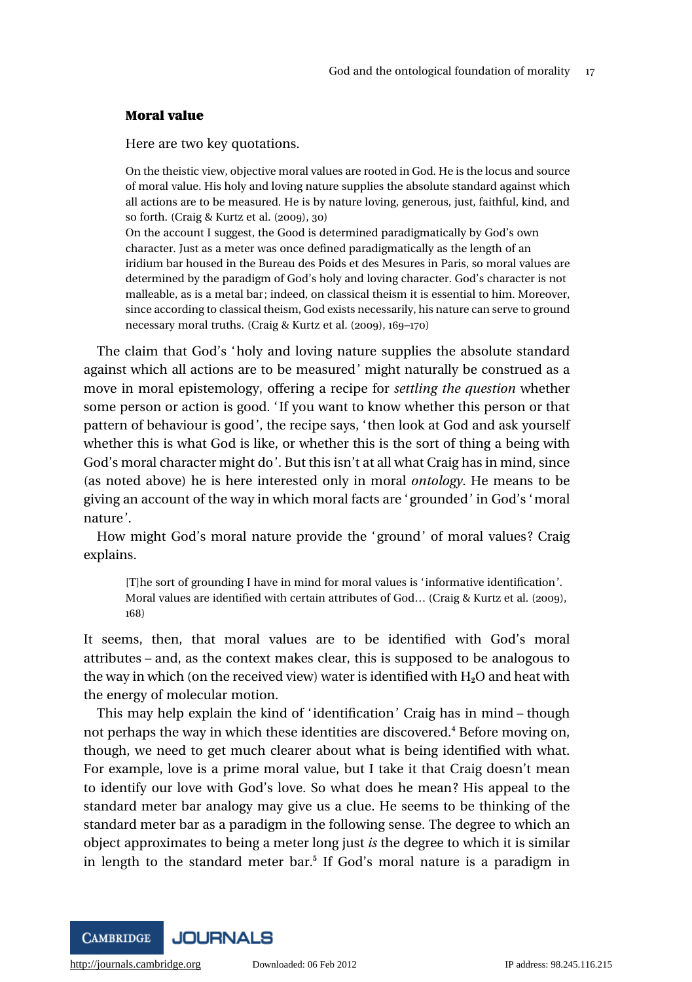## Moral value

Here are two key quotations.

On the theistic view, objective moral values are rooted in God. He is the locus and source of moral value. His holy and loving nature supplies the absolute standard against which all actions are to be measured. He is by nature loving, generous, just, faithful, kind, and so forth. (Craig & Kurtz et al. (2009), 30)

On the account I suggest, the Good is determined paradigmatically by God's own character. Just as a meter was once defined paradigmatically as the length of an iridium bar housed in the Bureau des Poids et des Mesures in Paris, so moral values are determined by the paradigm of God's holy and loving character. God's character is not malleable, as is a metal bar; indeed, on classical theism it is essential to him. Moreover, since according to classical theism, God exists necessarily, his nature can serve to ground necessary moral truths. (Craig & Kurtz et al. (2009), 169–170)

The claim that God's 'holy and loving nature supplies the absolute standard against which all actions are to be measured' might naturally be construed as a move in moral epistemology, offering a recipe for settling the question whether some person or action is good. ' If you want to know whether this person or that pattern of behaviour is good', the recipe says, ' then look at God and ask yourself whether this is what God is like, or whether this is the sort of thing a being with God's moral character might do'. But this isn't at all what Craig has in mind, since (as noted above) he is here interested only in moral ontology. He means to be giving an account of the way in which moral facts are 'grounded' in God's 'moral nature'.

How might God's moral nature provide the 'ground' of moral values ? Craig explains.

[T]he sort of grounding I have in mind for moral values is 'informative identification'. Moral values are identified with certain attributes of God… (Craig & Kurtz et al. (2009), 168)

It seems, then, that moral values are to be identified with God's moral attributes – and, as the context makes clear, this is supposed to be analogous to the way in which (on the received view) water is identified with  $H<sub>2</sub>O$  and heat with the energy of molecular motion.

This may help explain the kind of 'identification' Craig has in mind – though not perhaps the way in which these identities are discovered.<sup>4</sup> Before moving on, though, we need to get much clearer about what is being identified with what. For example, love is a prime moral value, but I take it that Craig doesn't mean to identify our love with God's love. So what does he mean ? His appeal to the standard meter bar analogy may give us a clue. He seems to be thinking of the standard meter bar as a paradigm in the following sense. The degree to which an object approximates to being a meter long just is the degree to which it is similar in length to the standard meter bar.<sup>5</sup> If God's moral nature is a paradigm in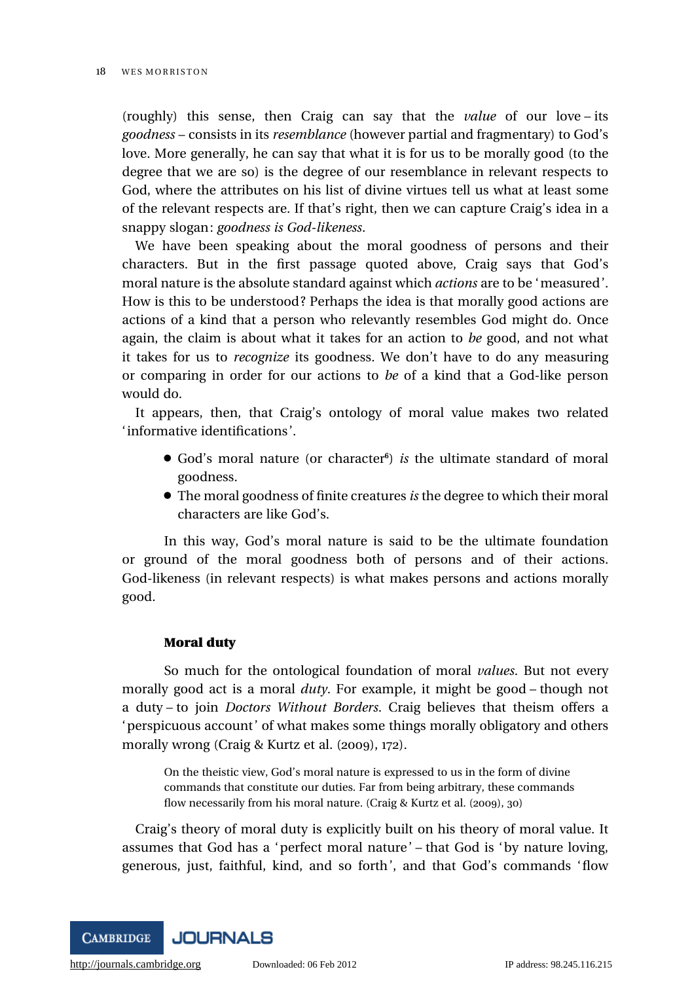(roughly) this sense, then Craig can say that the *value* of our love – its goodness – consists in its resemblance (however partial and fragmentary) to God's love. More generally, he can say that what it is for us to be morally good (to the degree that we are so) is the degree of our resemblance in relevant respects to God, where the attributes on his list of divine virtues tell us what at least some of the relevant respects are. If that's right, then we can capture Craig's idea in a snappy slogan: goodness is God-likeness.

We have been speaking about the moral goodness of persons and their characters. But in the first passage quoted above, Craig says that God's moral nature is the absolute standard against which actions are to be 'measured'. How is this to be understood ? Perhaps the idea is that morally good actions are actions of a kind that a person who relevantly resembles God might do. Once again, the claim is about what it takes for an action to be good, and not what it takes for us to recognize its goodness. We don't have to do any measuring or comparing in order for our actions to be of a kind that a God-like person would do.

It appears, then, that Craig's ontology of moral value makes two related 'informative identifications'.

- $\bullet$  God's moral nature (or character<sup>6</sup>) *is* the ultimate standard of moral goodness.
- ' The moral goodness of finite creatures is the degree to which their moral characters are like God's.

In this way, God's moral nature is said to be the ultimate foundation or ground of the moral goodness both of persons and of their actions. God-likeness (in relevant respects) is what makes persons and actions morally good.

## Moral duty

So much for the ontological foundation of moral *values*. But not every morally good act is a moral  $duty$ . For example, it might be good – though not a duty – to join Doctors Without Borders. Craig believes that theism offers a 'perspicuous account' of what makes some things morally obligatory and others morally wrong (Craig & Kurtz et al. (2009), 172).

On the theistic view, God's moral nature is expressed to us in the form of divine commands that constitute our duties. Far from being arbitrary, these commands flow necessarily from his moral nature. (Craig & Kurtz et al. (2009), 30)

Craig's theory of moral duty is explicitly built on his theory of moral value. It assumes that God has a 'perfect moral nature' – that God is 'by nature loving, generous, just, faithful, kind, and so forth', and that God's commands 'flow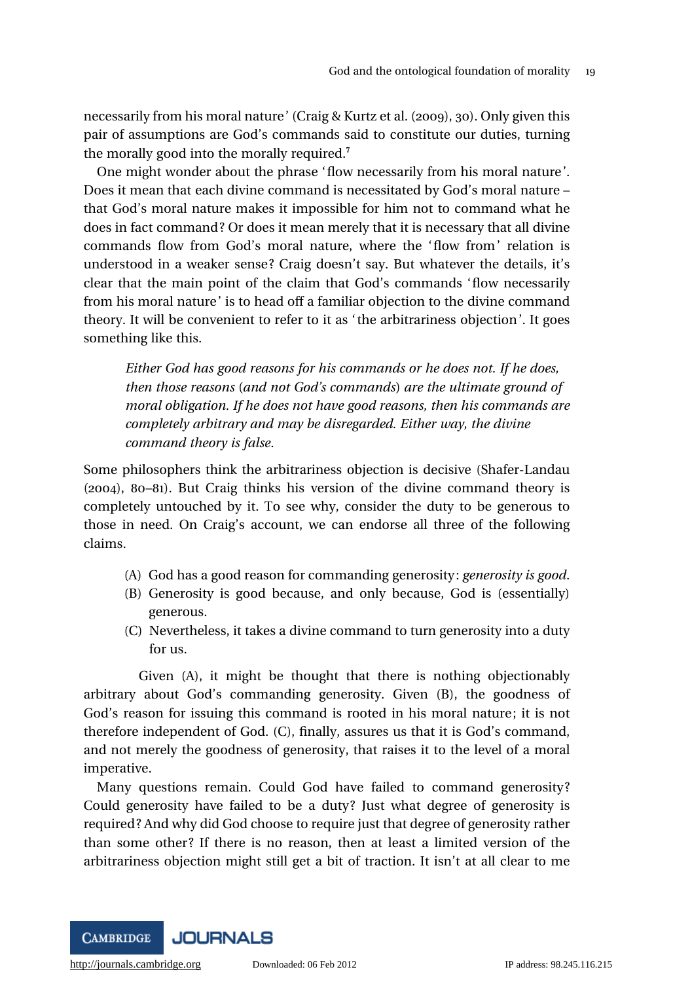necessarily from his moral nature' (Craig & Kurtz et al. (2009), 30). Only given this pair of assumptions are God's commands said to constitute our duties, turning the morally good into the morally required.<sup>7</sup>

One might wonder about the phrase 'flow necessarily from his moral nature'. Does it mean that each divine command is necessitated by God's moral nature – that God's moral nature makes it impossible for him not to command what he does in fact command ? Or does it mean merely that it is necessary that all divine commands flow from God's moral nature, where the 'flow from' relation is understood in a weaker sense? Craig doesn't say. But whatever the details, it's clear that the main point of the claim that God's commands 'flow necessarily from his moral nature' is to head off a familiar objection to the divine command theory. It will be convenient to refer to it as ' the arbitrariness objection'. It goes something like this.

Either God has good reasons for his commands or he does not. If he does, then those reasons (and not God's commands) are the ultimate ground of moral obligation. If he does not have good reasons, then his commands are completely arbitrary and may be disregarded. Either way, the divine command theory is false.

Some philosophers think the arbitrariness objection is decisive (Shafer-Landau (2004), 80–81). But Craig thinks his version of the divine command theory is completely untouched by it. To see why, consider the duty to be generous to those in need. On Craig's account, we can endorse all three of the following claims.

- (A) God has a good reason for commanding generosity: generosity is good.
- (B) Generosity is good because, and only because, God is (essentially) generous.
- (C) Nevertheless, it takes a divine command to turn generosity into a duty for us.

Given (A), it might be thought that there is nothing objectionably arbitrary about God's commanding generosity. Given (B), the goodness of God's reason for issuing this command is rooted in his moral nature; it is not therefore independent of God. (C), finally, assures us that it is God's command, and not merely the goodness of generosity, that raises it to the level of a moral imperative.

Many questions remain. Could God have failed to command generosity? Could generosity have failed to be a duty? Just what degree of generosity is required ? And why did God choose to require just that degree of generosity rather than some other ? If there is no reason, then at least a limited version of the arbitrariness objection might still get a bit of traction. It isn't at all clear to me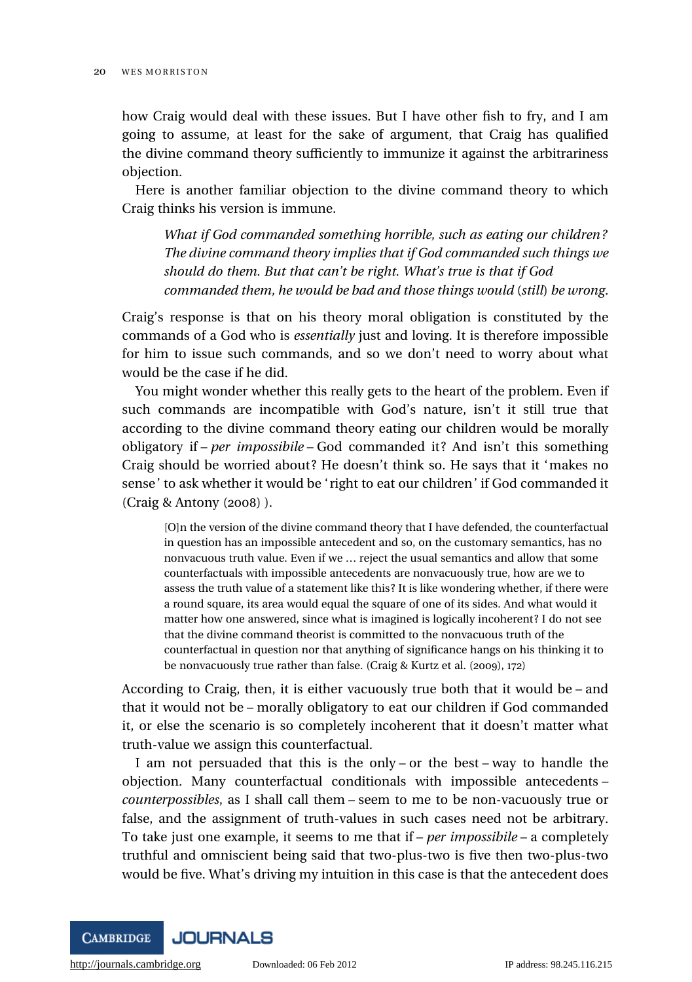how Craig would deal with these issues. But I have other fish to fry, and I am going to assume, at least for the sake of argument, that Craig has qualified the divine command theory sufficiently to immunize it against the arbitrariness objection.

Here is another familiar objection to the divine command theory to which Craig thinks his version is immune.

What if God commanded something horrible, such as eating our children? The divine command theory implies that if God commanded such things we should do them. But that can't be right. What's true is that if God commanded them, he would be bad and those things would (still) be wrong.

Craig's response is that on his theory moral obligation is constituted by the commands of a God who is essentially just and loving. It is therefore impossible for him to issue such commands, and so we don't need to worry about what would be the case if he did.

You might wonder whether this really gets to the heart of the problem. Even if such commands are incompatible with God's nature, isn't it still true that according to the divine command theory eating our children would be morally obligatory if – per impossibile – God commanded it? And isn't this something Craig should be worried about? He doesn't think so. He says that it 'makes no sense' to ask whether it would be ' right to eat our children' if God commanded it (Craig & Antony (2008) ).

[O]n the version of the divine command theory that I have defended, the counterfactual in question has an impossible antecedent and so, on the customary semantics, has no nonvacuous truth value. Even if we … reject the usual semantics and allow that some counterfactuals with impossible antecedents are nonvacuously true, how are we to assess the truth value of a statement like this? It is like wondering whether, if there were a round square, its area would equal the square of one of its sides. And what would it matter how one answered, since what is imagined is logically incoherent ? I do not see that the divine command theorist is committed to the nonvacuous truth of the counterfactual in question nor that anything of significance hangs on his thinking it to be nonvacuously true rather than false. (Craig & Kurtz et al. (2009), 172)

According to Craig, then, it is either vacuously true both that it would be – and that it would not be – morally obligatory to eat our children if God commanded it, or else the scenario is so completely incoherent that it doesn't matter what truth-value we assign this counterfactual.

I am not persuaded that this is the only – or the best – way to handle the objection. Many counterfactual conditionals with impossible antecedents – counterpossibles, as I shall call them – seem to me to be non-vacuously true or false, and the assignment of truth-values in such cases need not be arbitrary. To take just one example, it seems to me that if – *per impossibile* – a completely truthful and omniscient being said that two-plus-two is five then two-plus-two would be five. What's driving my intuition in this case is that the antecedent does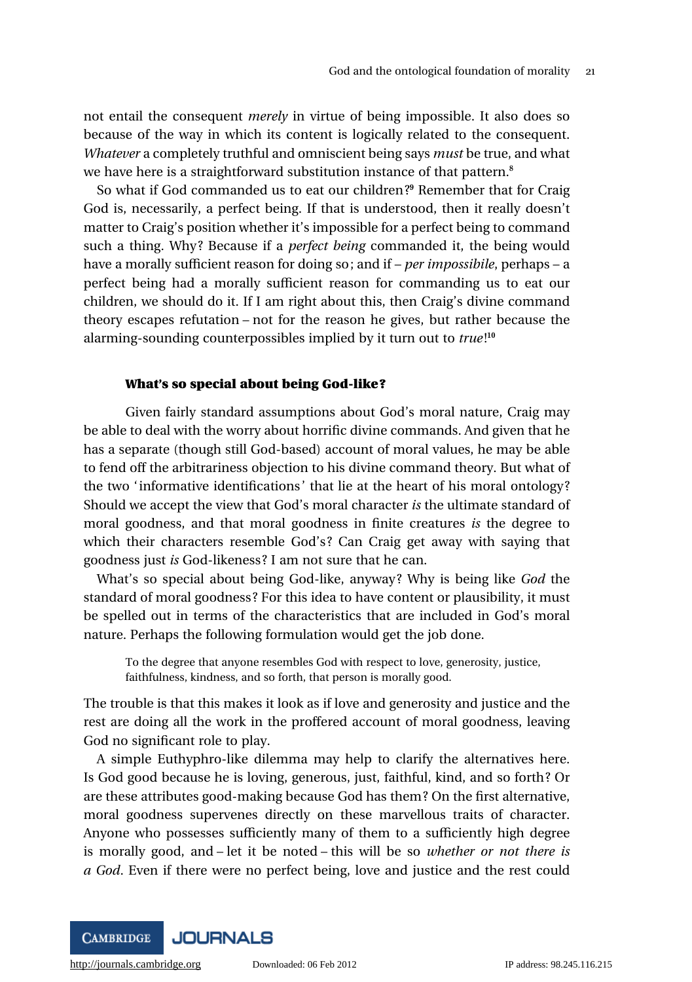not entail the consequent merely in virtue of being impossible. It also does so because of the way in which its content is logically related to the consequent. Whatever a completely truthful and omniscient being says *must* be true, and what we have here is a straightforward substitution instance of that pattern.<sup>8</sup>

So what if God commanded us to eat our children ?<sup>9</sup> Remember that for Craig God is, necessarily, a perfect being. If that is understood, then it really doesn't matter to Craig's position whether it's impossible for a perfect being to command such a thing. Why? Because if a *perfect being* commanded it, the being would have a morally sufficient reason for doing so; and if – *per impossibile*, perhaps – a perfect being had a morally sufficient reason for commanding us to eat our children, we should do it. If I am right about this, then Craig's divine command theory escapes refutation – not for the reason he gives, but rather because the alarming-sounding counterpossibles implied by it turn out to true!<sup>10</sup>

# What's so special about being God-like?

Given fairly standard assumptions about God's moral nature, Craig may be able to deal with the worry about horrific divine commands. And given that he has a separate (though still God-based) account of moral values, he may be able to fend off the arbitrariness objection to his divine command theory. But what of the two 'informative identifications' that lie at the heart of his moral ontology ? Should we accept the view that God's moral character is the ultimate standard of moral goodness, and that moral goodness in finite creatures is the degree to which their characters resemble God's? Can Craig get away with saying that goodness just is God-likeness ? I am not sure that he can.

What's so special about being God-like, anyway? Why is being like God the standard of moral goodness ? For this idea to have content or plausibility, it must be spelled out in terms of the characteristics that are included in God's moral nature. Perhaps the following formulation would get the job done.

To the degree that anyone resembles God with respect to love, generosity, justice, faithfulness, kindness, and so forth, that person is morally good.

The trouble is that this makes it look as if love and generosity and justice and the rest are doing all the work in the proffered account of moral goodness, leaving God no significant role to play.

A simple Euthyphro-like dilemma may help to clarify the alternatives here. Is God good because he is loving, generous, just, faithful, kind, and so forth ? Or are these attributes good-making because God has them? On the first alternative, moral goodness supervenes directly on these marvellous traits of character. Anyone who possesses sufficiently many of them to a sufficiently high degree is morally good, and – let it be noted – this will be so whether or not there is a God. Even if there were no perfect being, love and justice and the rest could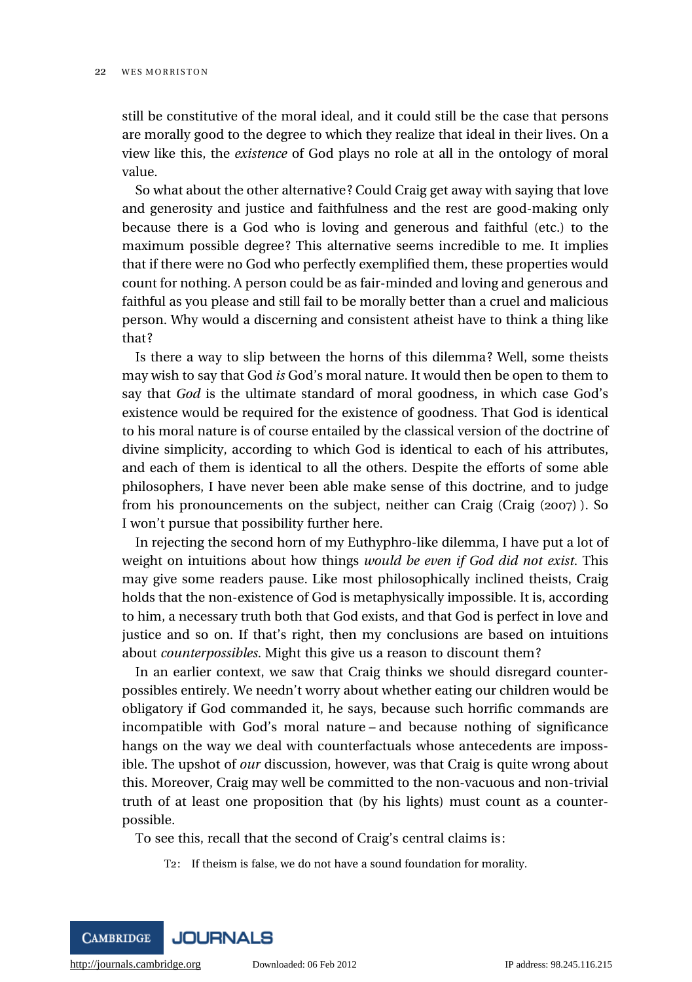still be constitutive of the moral ideal, and it could still be the case that persons are morally good to the degree to which they realize that ideal in their lives. On a view like this, the existence of God plays no role at all in the ontology of moral value.

So what about the other alternative ? Could Craig get away with saying that love and generosity and justice and faithfulness and the rest are good-making only because there is a God who is loving and generous and faithful (etc.) to the maximum possible degree? This alternative seems incredible to me. It implies that if there were no God who perfectly exemplified them, these properties would count for nothing. A person could be as fair-minded and loving and generous and faithful as you please and still fail to be morally better than a cruel and malicious person. Why would a discerning and consistent atheist have to think a thing like that ?

Is there a way to slip between the horns of this dilemma ? Well, some theists may wish to say that God is God's moral nature. It would then be open to them to say that God is the ultimate standard of moral goodness, in which case God's existence would be required for the existence of goodness. That God is identical to his moral nature is of course entailed by the classical version of the doctrine of divine simplicity, according to which God is identical to each of his attributes, and each of them is identical to all the others. Despite the efforts of some able philosophers, I have never been able make sense of this doctrine, and to judge from his pronouncements on the subject, neither can Craig (Craig (2007) ). So I won't pursue that possibility further here.

In rejecting the second horn of my Euthyphro-like dilemma, I have put a lot of weight on intuitions about how things *would be even if God did not exist*. This may give some readers pause. Like most philosophically inclined theists, Craig holds that the non-existence of God is metaphysically impossible. It is, according to him, a necessary truth both that God exists, and that God is perfect in love and justice and so on. If that's right, then my conclusions are based on intuitions about counterpossibles. Might this give us a reason to discount them?

In an earlier context, we saw that Craig thinks we should disregard counterpossibles entirely. We needn't worry about whether eating our children would be obligatory if God commanded it, he says, because such horrific commands are incompatible with God's moral nature – and because nothing of significance hangs on the way we deal with counterfactuals whose antecedents are impossible. The upshot of *our* discussion, however, was that Craig is quite wrong about this. Moreover, Craig may well be committed to the non-vacuous and non-trivial truth of at least one proposition that (by his lights) must count as a counterpossible.

To see this, recall that the second of Craig's central claims is:

T2: If theism is false, we do not have a sound foundation for morality.

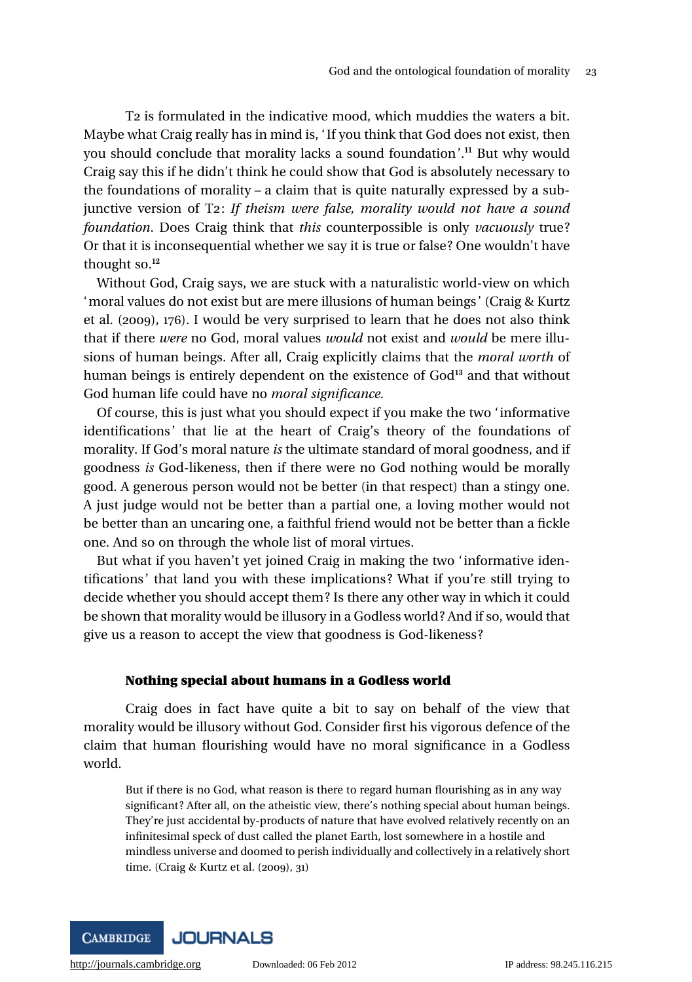T2 is formulated in the indicative mood, which muddies the waters a bit. Maybe what Craig really has in mind is, ' If you think that God does not exist, then you should conclude that morality lacks a sound foundation'.<sup>11</sup> But why would Craig say this if he didn't think he could show that God is absolutely necessary to the foundations of morality – a claim that is quite naturally expressed by a subjunctive version of T2: If theism were false, morality would not have a sound foundation. Does Craig think that this counterpossible is only *vacuously* true? Or that it is inconsequential whether we say it is true or false ? One wouldn't have thought so.<sup>12</sup>

Without God, Craig says, we are stuck with a naturalistic world-view on which 'moral values do not exist but are mere illusions of human beings' (Craig & Kurtz et al. (2009), 176). I would be very surprised to learn that he does not also think that if there were no God, moral values would not exist and would be mere illusions of human beings. After all, Craig explicitly claims that the moral worth of human beings is entirely dependent on the existence of God<sup>13</sup> and that without God human life could have no moral significance.

Of course, this is just what you should expect if you make the two 'informative identifications' that lie at the heart of Craig's theory of the foundations of morality. If God's moral nature is the ultimate standard of moral goodness, and if goodness is God-likeness, then if there were no God nothing would be morally good. A generous person would not be better (in that respect) than a stingy one. A just judge would not be better than a partial one, a loving mother would not be better than an uncaring one, a faithful friend would not be better than a fickle one. And so on through the whole list of moral virtues.

But what if you haven't yet joined Craig in making the two 'informative identifications' that land you with these implications ? What if you're still trying to decide whether you should accept them ? Is there any other way in which it could be shown that morality would be illusory in a Godless world ? And if so, would that give us a reason to accept the view that goodness is God-likeness ?

## Nothing special about humans in a Godless world

Craig does in fact have quite a bit to say on behalf of the view that morality would be illusory without God. Consider first his vigorous defence of the claim that human flourishing would have no moral significance in a Godless world.

But if there is no God, what reason is there to regard human flourishing as in any way significant? After all, on the atheistic view, there's nothing special about human beings. They're just accidental by-products of nature that have evolved relatively recently on an infinitesimal speck of dust called the planet Earth, lost somewhere in a hostile and mindless universe and doomed to perish individually and collectively in a relatively short time. (Craig & Kurtz et al. (2009), 31)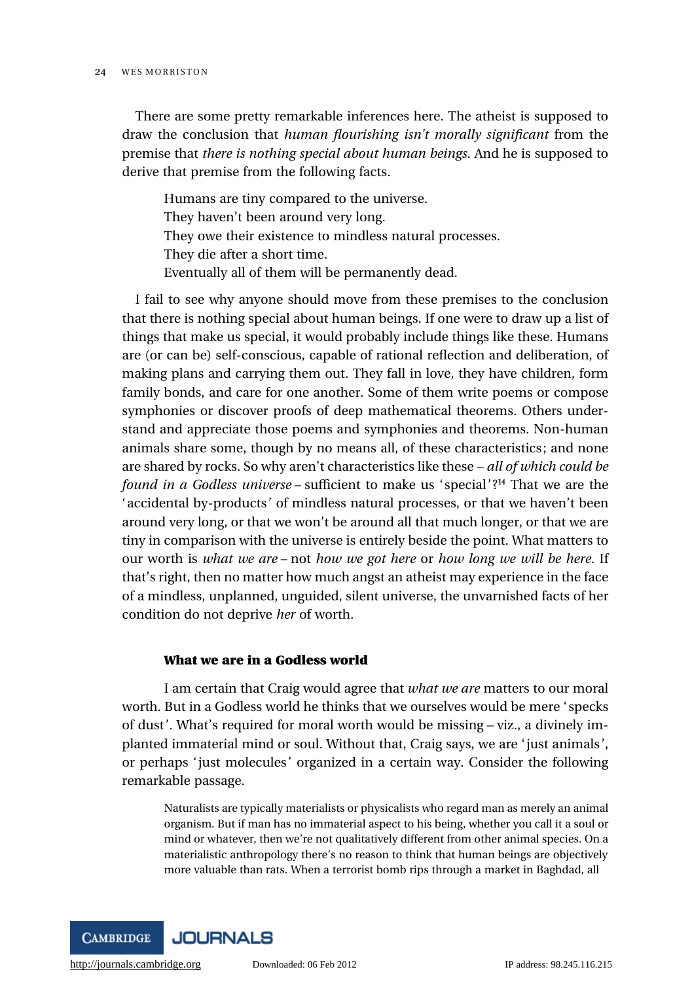There are some pretty remarkable inferences here. The atheist is supposed to draw the conclusion that human flourishing isn't morally significant from the premise that there is nothing special about human beings. And he is supposed to derive that premise from the following facts.

Humans are tiny compared to the universe. They haven't been around very long. They owe their existence to mindless natural processes. They die after a short time. Eventually all of them will be permanently dead.

I fail to see why anyone should move from these premises to the conclusion that there is nothing special about human beings. If one were to draw up a list of things that make us special, it would probably include things like these. Humans are (or can be) self-conscious, capable of rational reflection and deliberation, of making plans and carrying them out. They fall in love, they have children, form family bonds, and care for one another. Some of them write poems or compose symphonies or discover proofs of deep mathematical theorems. Others understand and appreciate those poems and symphonies and theorems. Non-human animals share some, though by no means all, of these characteristics; and none are shared by rocks. So why aren't characteristics like these – all of which could be found in a Godless universe – sufficient to make us 'special'?<sup>14</sup> That we are the 'accidental by-products' of mindless natural processes, or that we haven't been around very long, or that we won't be around all that much longer, or that we are tiny in comparison with the universe is entirely beside the point. What matters to our worth is what we are – not how we got here or how long we will be here. If that's right, then no matter how much angst an atheist may experience in the face of a mindless, unplanned, unguided, silent universe, the unvarnished facts of her condition do not deprive her of worth.

# What we are in a Godless world

I am certain that Craig would agree that *what we are* matters to our moral worth. But in a Godless world he thinks that we ourselves would be mere 'specks of dust'. What's required for moral worth would be missing – viz., a divinely implanted immaterial mind or soul. Without that, Craig says, we are 'just animals', or perhaps 'just molecules' organized in a certain way. Consider the following remarkable passage.

Naturalists are typically materialists or physicalists who regard man as merely an animal organism. But if man has no immaterial aspect to his being, whether you call it a soul or mind or whatever, then we're not qualitatively different from other animal species. On a materialistic anthropology there's no reason to think that human beings are objectively more valuable than rats. When a terrorist bomb rips through a market in Baghdad, all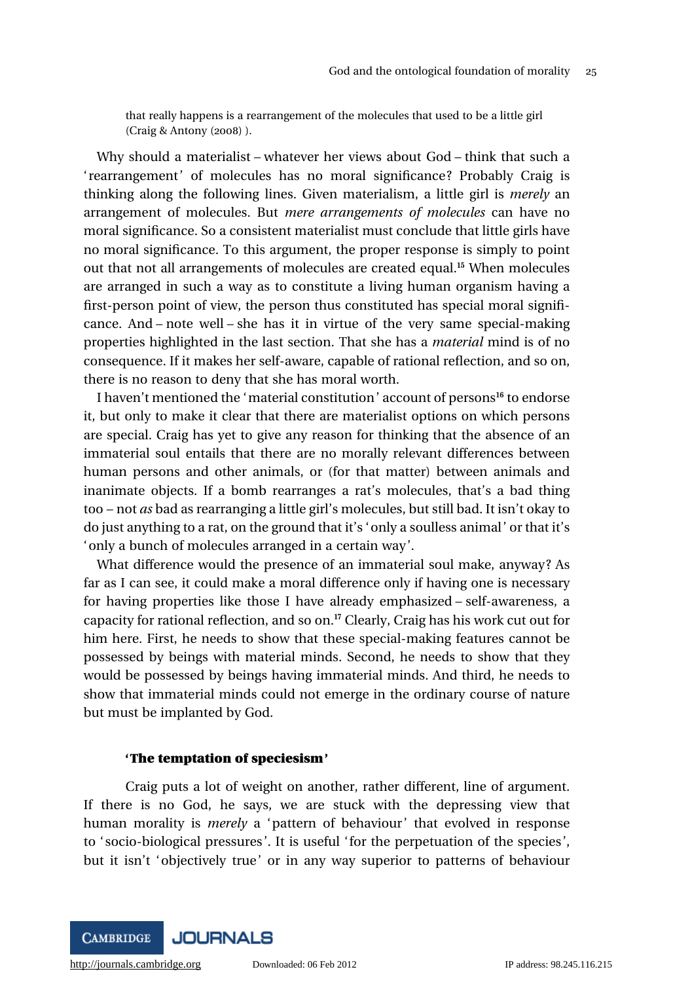that really happens is a rearrangement of the molecules that used to be a little girl (Craig & Antony (2008) ).

Why should a materialist – whatever her views about God – think that such a ' rearrangement' of molecules has no moral significance ? Probably Craig is thinking along the following lines. Given materialism, a little girl is merely an arrangement of molecules. But mere arrangements of molecules can have no moral significance. So a consistent materialist must conclude that little girls have no moral significance. To this argument, the proper response is simply to point out that not all arrangements of molecules are created equal.<sup>15</sup> When molecules are arranged in such a way as to constitute a living human organism having a first-person point of view, the person thus constituted has special moral significance. And – note well – she has it in virtue of the very same special-making properties highlighted in the last section. That she has a material mind is of no consequence. If it makes her self-aware, capable of rational reflection, and so on, there is no reason to deny that she has moral worth.

I haven't mentioned the 'material constitution' account of persons<sup>16</sup> to endorse it, but only to make it clear that there are materialist options on which persons are special. Craig has yet to give any reason for thinking that the absence of an immaterial soul entails that there are no morally relevant differences between human persons and other animals, or (for that matter) between animals and inanimate objects. If a bomb rearranges a rat's molecules, that's a bad thing too – not as bad as rearranging a little girl's molecules, but still bad. It isn't okay to do just anything to a rat, on the ground that it's 'only a soulless animal' or that it's 'only a bunch of molecules arranged in a certain way'.

What difference would the presence of an immaterial soul make, anyway? As far as I can see, it could make a moral difference only if having one is necessary for having properties like those I have already emphasized – self-awareness, a capacity for rational reflection, and so on.<sup>17</sup> Clearly, Craig has his work cut out for him here. First, he needs to show that these special-making features cannot be possessed by beings with material minds. Second, he needs to show that they would be possessed by beings having immaterial minds. And third, he needs to show that immaterial minds could not emerge in the ordinary course of nature but must be implanted by God.

## 'The temptation of speciesism'

Craig puts a lot of weight on another, rather different, line of argument. If there is no God, he says, we are stuck with the depressing view that human morality is merely a 'pattern of behaviour' that evolved in response to 'socio-biological pressures'. It is useful ' for the perpetuation of the species', but it isn't 'objectively true' or in any way superior to patterns of behaviour

<http://journals.cambridge.org> Downloaded: 06 Feb 2012 IP address: 98.245.116.215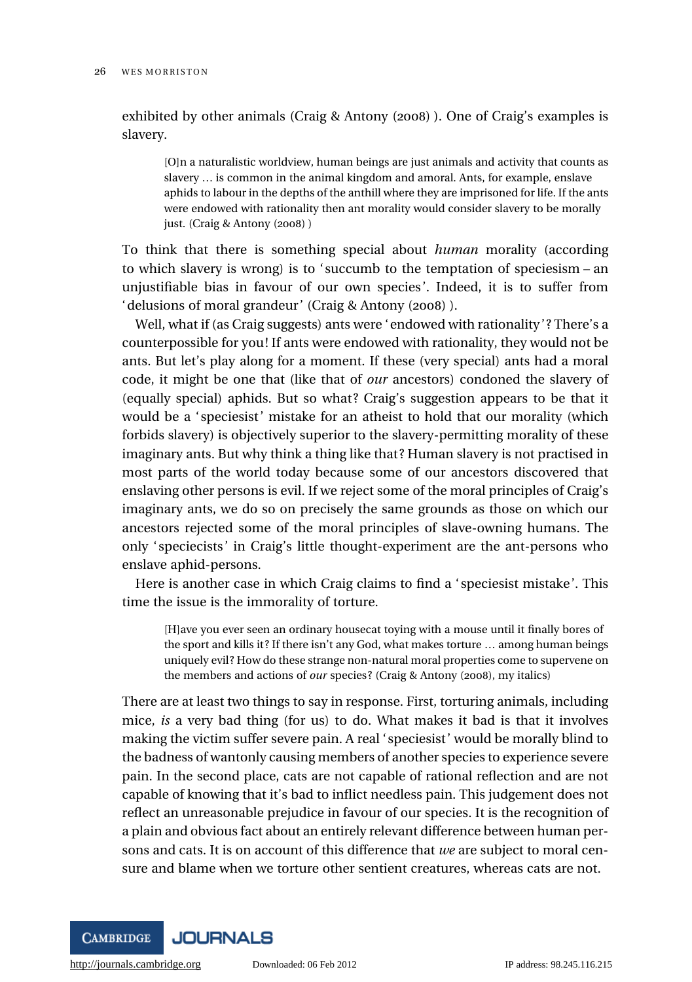exhibited by other animals (Craig & Antony (2008) ). One of Craig's examples is slavery.

[O]n a naturalistic worldview, human beings are just animals and activity that counts as slavery … is common in the animal kingdom and amoral. Ants, for example, enslave aphids to labour in the depths of the anthill where they are imprisoned for life. If the ants were endowed with rationality then ant morality would consider slavery to be morally just. (Craig & Antony (2008) )

To think that there is something special about human morality (according to which slavery is wrong) is to 'succumb to the temptation of speciesism – an unjustifiable bias in favour of our own species'. Indeed, it is to suffer from 'delusions of moral grandeur' (Craig & Antony (2008) ).

Well, what if (as Craig suggests) ants were 'endowed with rationality'? There's a counterpossible for you! If ants were endowed with rationality, they would not be ants. But let's play along for a moment. If these (very special) ants had a moral code, it might be one that (like that of our ancestors) condoned the slavery of (equally special) aphids. But so what? Craig's suggestion appears to be that it would be a 'speciesist' mistake for an atheist to hold that our morality (which forbids slavery) is objectively superior to the slavery-permitting morality of these imaginary ants. But why think a thing like that ? Human slavery is not practised in most parts of the world today because some of our ancestors discovered that enslaving other persons is evil. If we reject some of the moral principles of Craig's imaginary ants, we do so on precisely the same grounds as those on which our ancestors rejected some of the moral principles of slave-owning humans. The only 'speciecists' in Craig's little thought-experiment are the ant-persons who enslave aphid-persons.

Here is another case in which Craig claims to find a 'speciesist mistake'. This time the issue is the immorality of torture.

[H]ave you ever seen an ordinary housecat toying with a mouse until it finally bores of the sport and kills it? If there isn't any God, what makes torture ... among human beings uniquely evil ? How do these strange non-natural moral properties come to supervene on the members and actions of our species? (Craig & Antony (2008), my italics)

There are at least two things to say in response. First, torturing animals, including mice, is a very bad thing (for us) to do. What makes it bad is that it involves making the victim suffer severe pain. A real 'speciesist' would be morally blind to the badness of wantonly causing members of another species to experience severe pain. In the second place, cats are not capable of rational reflection and are not capable of knowing that it's bad to inflict needless pain. This judgement does not reflect an unreasonable prejudice in favour of our species. It is the recognition of a plain and obvious fact about an entirely relevant difference between human persons and cats. It is on account of this difference that we are subject to moral censure and blame when we torture other sentient creatures, whereas cats are not.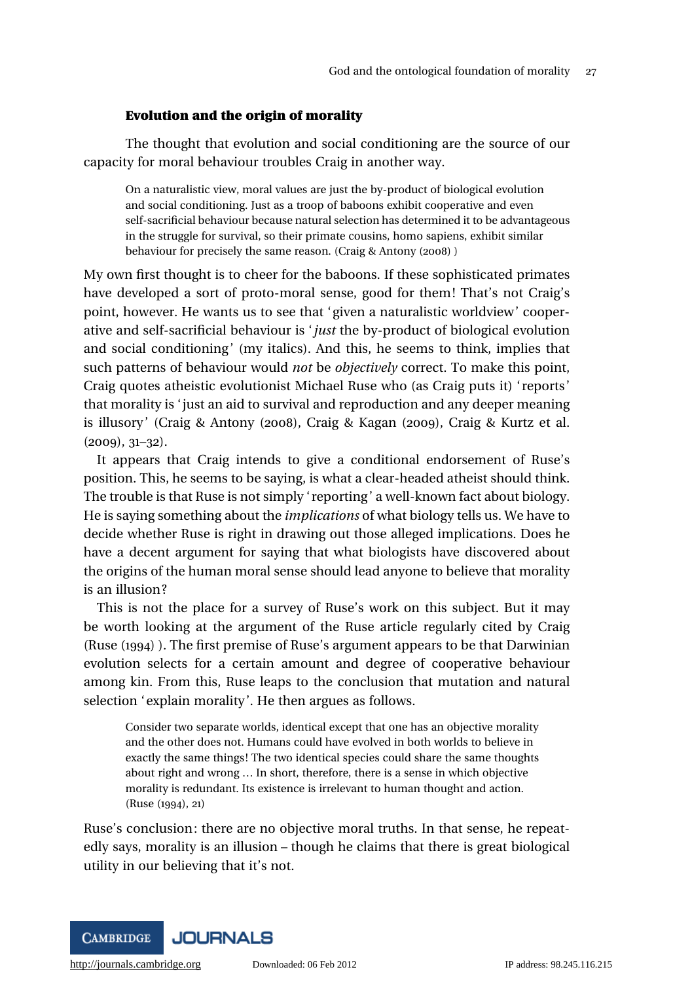## Evolution and the origin of morality

The thought that evolution and social conditioning are the source of our capacity for moral behaviour troubles Craig in another way.

On a naturalistic view, moral values are just the by-product of biological evolution and social conditioning. Just as a troop of baboons exhibit cooperative and even self-sacrificial behaviour because natural selection has determined it to be advantageous in the struggle for survival, so their primate cousins, homo sapiens, exhibit similar behaviour for precisely the same reason. (Craig & Antony (2008) )

My own first thought is to cheer for the baboons. If these sophisticated primates have developed a sort of proto-moral sense, good for them! That's not Craig's point, however. He wants us to see that 'given a naturalistic worldview' cooperative and self-sacrificial behaviour is '*just* the by-product of biological evolution and social conditioning' (my italics). And this, he seems to think, implies that such patterns of behaviour would *not* be *objectively* correct. To make this point, Craig quotes atheistic evolutionist Michael Ruse who (as Craig puts it) ' reports' that morality is 'just an aid to survival and reproduction and any deeper meaning is illusory' (Craig & Antony (2008), Craig & Kagan (2009), Craig & Kurtz et al. (2009), 31–32).

It appears that Craig intends to give a conditional endorsement of Ruse's position. This, he seems to be saying, is what a clear-headed atheist should think. The trouble is that Ruse is not simply ' reporting' a well-known fact about biology. He is saying something about the implications of what biology tells us. We have to decide whether Ruse is right in drawing out those alleged implications. Does he have a decent argument for saying that what biologists have discovered about the origins of the human moral sense should lead anyone to believe that morality is an illusion ?

This is not the place for a survey of Ruse's work on this subject. But it may be worth looking at the argument of the Ruse article regularly cited by Craig (Ruse (1994) ). The first premise of Ruse's argument appears to be that Darwinian evolution selects for a certain amount and degree of cooperative behaviour among kin. From this, Ruse leaps to the conclusion that mutation and natural selection 'explain morality'. He then argues as follows.

Consider two separate worlds, identical except that one has an objective morality and the other does not. Humans could have evolved in both worlds to believe in exactly the same things! The two identical species could share the same thoughts about right and wrong … In short, therefore, there is a sense in which objective morality is redundant. Its existence is irrelevant to human thought and action. (Ruse (1994), 21)

Ruse's conclusion: there are no objective moral truths. In that sense, he repeatedly says, morality is an illusion – though he claims that there is great biological utility in our believing that it's not.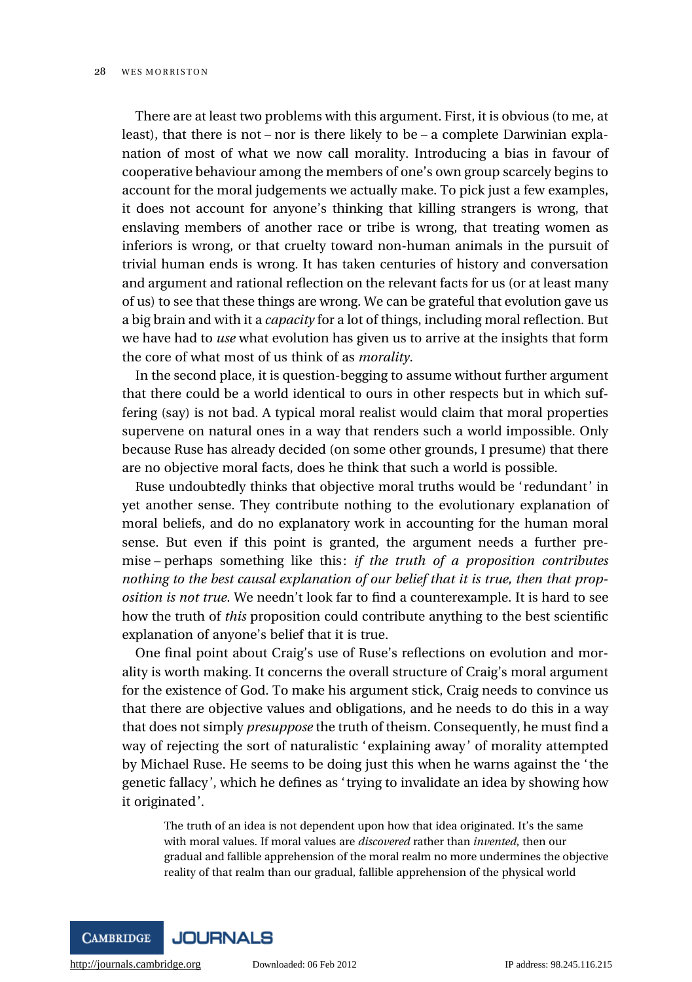There are at least two problems with this argument. First, it is obvious (to me, at least), that there is not – nor is there likely to be – a complete Darwinian explanation of most of what we now call morality. Introducing a bias in favour of cooperative behaviour among the members of one's own group scarcely begins to account for the moral judgements we actually make. To pick just a few examples, it does not account for anyone's thinking that killing strangers is wrong, that enslaving members of another race or tribe is wrong, that treating women as inferiors is wrong, or that cruelty toward non-human animals in the pursuit of trivial human ends is wrong. It has taken centuries of history and conversation and argument and rational reflection on the relevant facts for us (or at least many of us) to see that these things are wrong. We can be grateful that evolution gave us a big brain and with it a *capacity* for a lot of things, including moral reflection. But we have had to use what evolution has given us to arrive at the insights that form the core of what most of us think of as morality.

In the second place, it is question-begging to assume without further argument that there could be a world identical to ours in other respects but in which suffering (say) is not bad. A typical moral realist would claim that moral properties supervene on natural ones in a way that renders such a world impossible. Only because Ruse has already decided (on some other grounds, I presume) that there are no objective moral facts, does he think that such a world is possible.

Ruse undoubtedly thinks that objective moral truths would be ' redundant' in yet another sense. They contribute nothing to the evolutionary explanation of moral beliefs, and do no explanatory work in accounting for the human moral sense. But even if this point is granted, the argument needs a further premise – perhaps something like this: if the truth of a proposition contributes nothing to the best causal explanation of our belief that it is true, then that proposition is not true. We needn't look far to find a counterexample. It is hard to see how the truth of this proposition could contribute anything to the best scientific explanation of anyone's belief that it is true.

One final point about Craig's use of Ruse's reflections on evolution and morality is worth making. It concerns the overall structure of Craig's moral argument for the existence of God. To make his argument stick, Craig needs to convince us that there are objective values and obligations, and he needs to do this in a way that does not simply presuppose the truth of theism. Consequently, he must find a way of rejecting the sort of naturalistic ' explaining away' of morality attempted by Michael Ruse. He seems to be doing just this when he warns against the ' the genetic fallacy', which he defines as ' trying to invalidate an idea by showing how it originated'.

The truth of an idea is not dependent upon how that idea originated. It's the same with moral values. If moral values are *discovered* rather than *invented*, then our gradual and fallible apprehension of the moral realm no more undermines the objective reality of that realm than our gradual, fallible apprehension of the physical world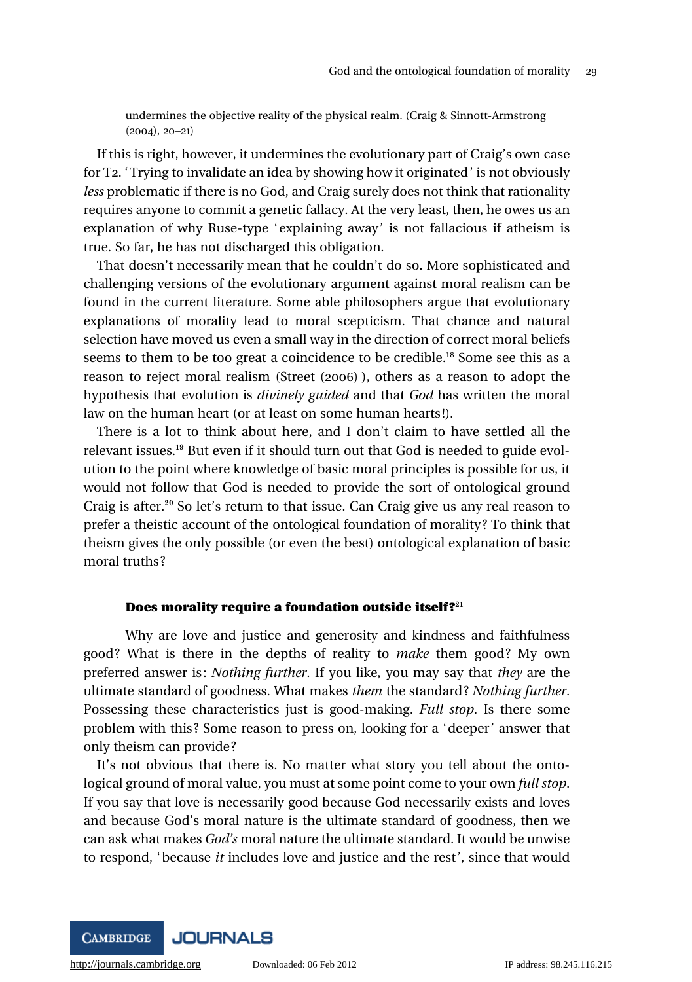undermines the objective reality of the physical realm. (Craig & Sinnott-Armstrong (2004), 20–21)

If this is right, however, it undermines the evolutionary part of Craig's own case for T2. 'Trying to invalidate an idea by showing how it originated' is not obviously less problematic if there is no God, and Craig surely does not think that rationality requires anyone to commit a genetic fallacy. At the very least, then, he owes us an explanation of why Ruse-type 'explaining away' is not fallacious if atheism is true. So far, he has not discharged this obligation.

That doesn't necessarily mean that he couldn't do so. More sophisticated and challenging versions of the evolutionary argument against moral realism can be found in the current literature. Some able philosophers argue that evolutionary explanations of morality lead to moral scepticism. That chance and natural selection have moved us even a small way in the direction of correct moral beliefs seems to them to be too great a coincidence to be credible.<sup>18</sup> Some see this as a reason to reject moral realism (Street (2006) ), others as a reason to adopt the hypothesis that evolution is divinely guided and that God has written the moral law on the human heart (or at least on some human hearts!).

There is a lot to think about here, and I don't claim to have settled all the relevant issues.<sup>19</sup> But even if it should turn out that God is needed to guide evolution to the point where knowledge of basic moral principles is possible for us, it would not follow that God is needed to provide the sort of ontological ground Craig is after.<sup>20</sup> So let's return to that issue. Can Craig give us any real reason to prefer a theistic account of the ontological foundation of morality ? To think that theism gives the only possible (or even the best) ontological explanation of basic moral truths ?

# Does morality require a foundation outside itself? $^{21}$

Why are love and justice and generosity and kindness and faithfulness good? What is there in the depths of reality to *make* them good? My own preferred answer is: Nothing further. If you like, you may say that they are the ultimate standard of goodness. What makes them the standard? Nothing further. Possessing these characteristics just is good-making. Full stop. Is there some problem with this ? Some reason to press on, looking for a 'deeper' answer that only theism can provide ?

It's not obvious that there is. No matter what story you tell about the ontological ground of moral value, you must at some point come to your own *full stop*. If you say that love is necessarily good because God necessarily exists and loves and because God's moral nature is the ultimate standard of goodness, then we can ask what makes God's moral nature the ultimate standard. It would be unwise to respond, 'because it includes love and justice and the rest', since that would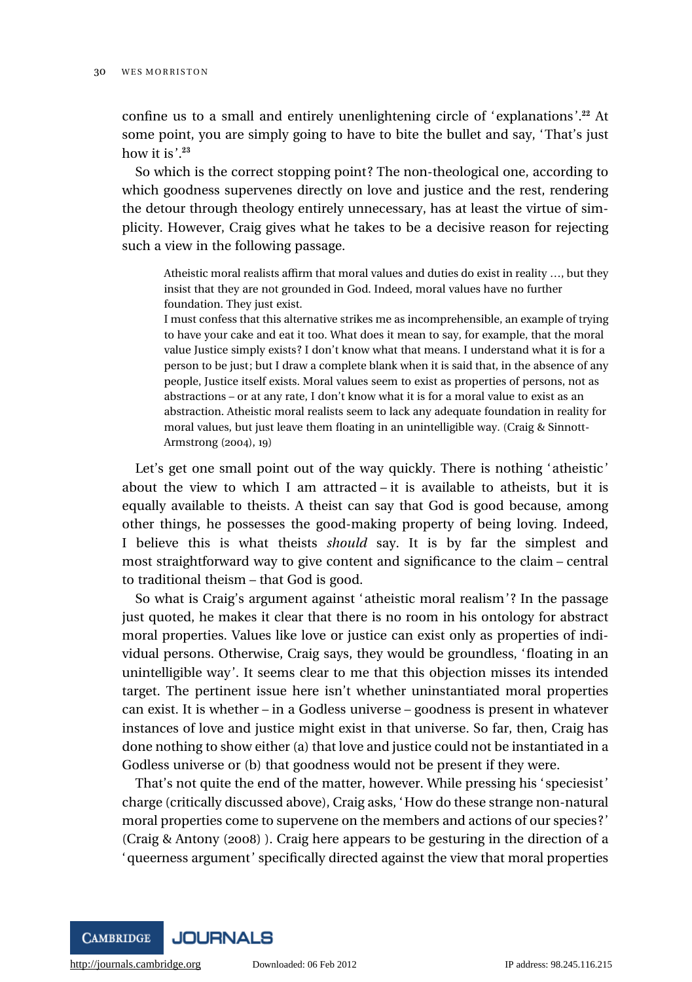confine us to a small and entirely unenlightening circle of 'explanations'.<sup>22</sup> At some point, you are simply going to have to bite the bullet and say, 'That's just how it is'.<sup>23</sup>

So which is the correct stopping point ? The non-theological one, according to which goodness supervenes directly on love and justice and the rest, rendering the detour through theology entirely unnecessary, has at least the virtue of simplicity. However, Craig gives what he takes to be a decisive reason for rejecting such a view in the following passage.

Atheistic moral realists affirm that moral values and duties do exist in reality …, but they insist that they are not grounded in God. Indeed, moral values have no further foundation. They just exist.

I must confess that this alternative strikes me as incomprehensible, an example of trying to have your cake and eat it too. What does it mean to say, for example, that the moral value Justice simply exists ? I don't know what that means. I understand what it is for a person to be just; but I draw a complete blank when it is said that, in the absence of any people, Justice itself exists. Moral values seem to exist as properties of persons, not as abstractions – or at any rate, I don't know what it is for a moral value to exist as an abstraction. Atheistic moral realists seem to lack any adequate foundation in reality for moral values, but just leave them floating in an unintelligible way. (Craig & Sinnott-Armstrong (2004), 19)

Let's get one small point out of the way quickly. There is nothing 'atheistic' about the view to which I am attracted  $-$  it is available to atheists, but it is equally available to theists. A theist can say that God is good because, among other things, he possesses the good-making property of being loving. Indeed, I believe this is what theists *should* say. It is by far the simplest and most straightforward way to give content and significance to the claim – central to traditional theism – that God is good.

So what is Craig's argument against 'atheistic moral realism'? In the passage just quoted, he makes it clear that there is no room in his ontology for abstract moral properties. Values like love or justice can exist only as properties of individual persons. Otherwise, Craig says, they would be groundless, 'floating in an unintelligible way'. It seems clear to me that this objection misses its intended target. The pertinent issue here isn't whether uninstantiated moral properties can exist. It is whether – in a Godless universe – goodness is present in whatever instances of love and justice might exist in that universe. So far, then, Craig has done nothing to show either (a) that love and justice could not be instantiated in a Godless universe or (b) that goodness would not be present if they were.

That's not quite the end of the matter, however. While pressing his 'speciesist' charge (critically discussed above), Craig asks, 'How do these strange non-natural moral properties come to supervene on the members and actions of our species ?' (Craig & Antony (2008) ). Craig here appears to be gesturing in the direction of a 'queerness argument' specifically directed against the view that moral properties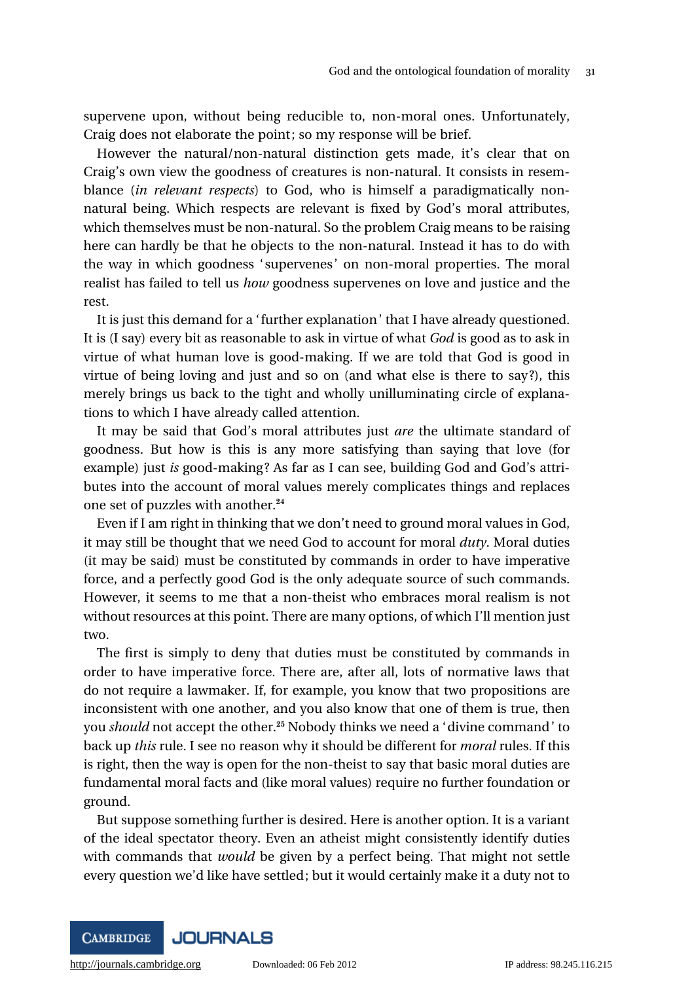supervene upon, without being reducible to, non-moral ones. Unfortunately, Craig does not elaborate the point; so my response will be brief.

However the natural/non-natural distinction gets made, it's clear that on Craig's own view the goodness of creatures is non-natural. It consists in resemblance (in relevant respects) to God, who is himself a paradigmatically nonnatural being. Which respects are relevant is fixed by God's moral attributes, which themselves must be non-natural. So the problem Craig means to be raising here can hardly be that he objects to the non-natural. Instead it has to do with the way in which goodness 'supervenes' on non-moral properties. The moral realist has failed to tell us how goodness supervenes on love and justice and the rest.

It is just this demand for a ' further explanation' that I have already questioned. It is (I say) every bit as reasonable to ask in virtue of what God is good as to ask in virtue of what human love is good-making. If we are told that God is good in virtue of being loving and just and so on (and what else is there to say ?), this merely brings us back to the tight and wholly unilluminating circle of explanations to which I have already called attention.

It may be said that God's moral attributes just are the ultimate standard of goodness. But how is this is any more satisfying than saying that love (for example) just is good-making? As far as I can see, building God and God's attributes into the account of moral values merely complicates things and replaces one set of puzzles with another.<sup>24</sup>

Even if I am right in thinking that we don't need to ground moral values in God, it may still be thought that we need God to account for moral duty. Moral duties (it may be said) must be constituted by commands in order to have imperative force, and a perfectly good God is the only adequate source of such commands. However, it seems to me that a non-theist who embraces moral realism is not without resources at this point. There are many options, of which I'll mention just two.

The first is simply to deny that duties must be constituted by commands in order to have imperative force. There are, after all, lots of normative laws that do not require a lawmaker. If, for example, you know that two propositions are inconsistent with one another, and you also know that one of them is true, then you should not accept the other.<sup>25</sup> Nobody thinks we need a 'divine command' to back up this rule. I see no reason why it should be different for moral rules. If this is right, then the way is open for the non-theist to say that basic moral duties are fundamental moral facts and (like moral values) require no further foundation or ground.

But suppose something further is desired. Here is another option. It is a variant of the ideal spectator theory. Even an atheist might consistently identify duties with commands that *would* be given by a perfect being. That might not settle every question we'd like have settled; but it would certainly make it a duty not to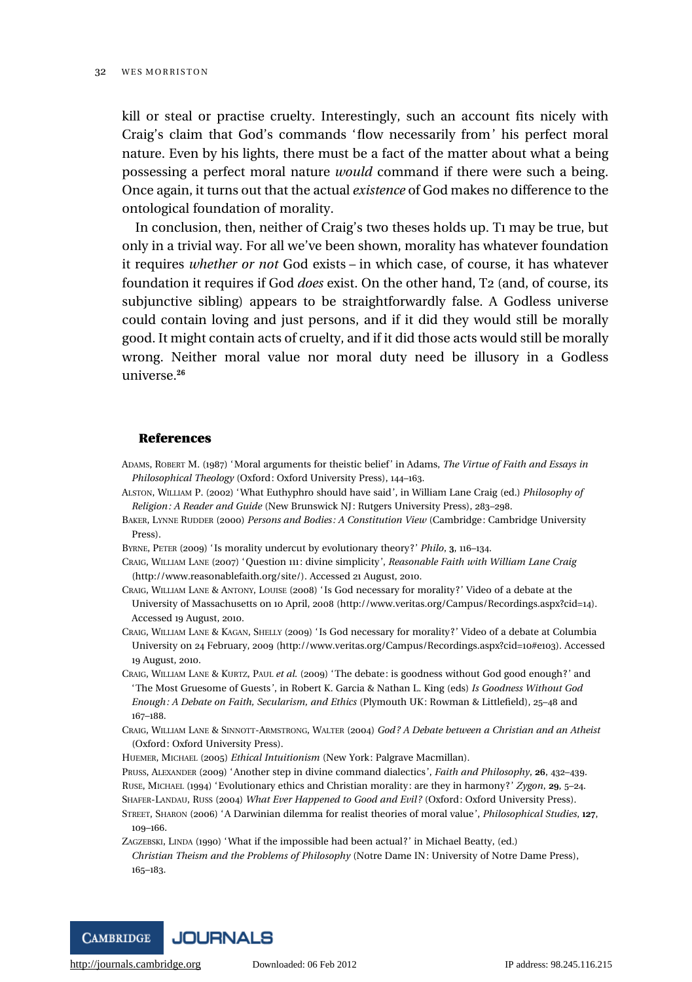kill or steal or practise cruelty. Interestingly, such an account fits nicely with Craig's claim that God's commands 'flow necessarily from' his perfect moral nature. Even by his lights, there must be a fact of the matter about what a being possessing a perfect moral nature would command if there were such a being. Once again, it turns out that the actual existence of God makes no difference to the ontological foundation of morality.

In conclusion, then, neither of Craig's two theses holds up. T1 may be true, but only in a trivial way. For all we've been shown, morality has whatever foundation it requires whether or not God exists – in which case, of course, it has whatever foundation it requires if God does exist. On the other hand, T2 (and, of course, its subjunctive sibling) appears to be straightforwardly false. A Godless universe could contain loving and just persons, and if it did they would still be morally good. It might contain acts of cruelty, and if it did those acts would still be morally wrong. Neither moral value nor moral duty need be illusory in a Godless universe.<sup>26</sup>

#### References

- ADAMS, ROBERT M. (1987) 'Moral arguments for theistic belief' in Adams, The Virtue of Faith and Essays in Philosophical Theology (Oxford: Oxford University Press), 144–163.
- ALSTON, WILLIAM P. (2002) 'What Euthyphro should have said', in William Lane Craig (ed.) Philosophy of Religion: A Reader and Guide (New Brunswick NJ: Rutgers University Press), 283–298.
- BAKER, LYNNE RUDDER (2000) Persons and Bodies: A Constitution View (Cambridge: Cambridge University Press).
- BYRNE, PETER (2009) 'Is morality undercut by evolutionary theory?' Philo, 3, 116-134.
- CRAIG, WILLIAM LANE (2007) 'Question 111: divine simplicity', Reasonable Faith with William Lane Craig (http://www.reasonablefaith.org/site/). Accessed 21 August, 2010.
- CRAIG, WILLIAM LANE & ANTONY, LOUISE (2008) ' Is God necessary for morality ?' Video of a debate at the University of Massachusetts on 10 April, 2008 (http://www.veritas.org/Campus/Recordings.aspx?cid=14). Accessed 19 August, 2010.
- CRAIG, WILLIAM LANE & KAGAN, SHELLY (2009) ' Is God necessary for morality ?' Video of a debate at Columbia University on 24 February, 2009 (http://www.veritas.org/Campus/Recordings.aspx?cid=10#e103). Accessed 19 August, 2010.
- CRAIG, WILLIAM LANE & KURTZ, PAUL et al. (2009) 'The debate: is goodness without God good enough ?' and 'The Most Gruesome of Guests', in Robert K. Garcia & Nathan L. King (eds) Is Goodness Without God Enough: A Debate on Faith, Secularism, and Ethics (Plymouth UK: Rowman & Littlefield), 25–48 and 167–188.
- CRAIG, WILLIAM LANE & SINNOTT-ARMSTRONG, WALTER (2004) God ? A Debate between a Christian and an Atheist (Oxford: Oxford University Press).
- HUEMER, MICHAEL (2005) Ethical Intuitionism (New York: Palgrave Macmillan).

PRUSS, ALEXANDER (2009) 'Another step in divine command dialectics', Faith and Philosophy, 26, 432–439. RUSE, MICHAEL (1994) 'Evolutionary ethics and Christian morality: are they in harmony ?' Zygon, 29, 5–24. SHAFER-LANDAU, RUSS (2004) What Ever Happened to Good and Evil? (Oxford: Oxford University Press). STREET, SHARON (2006) 'A Darwinian dilemma for realist theories of moral value', Philosophical Studies, 127, 109–166.

ZAGZEBSKI, LINDA (1990) 'What if the impossible had been actual ?' in Michael Beatty, (ed.) Christian Theism and the Problems of Philosophy (Notre Dame IN: University of Notre Dame Press), 165–183.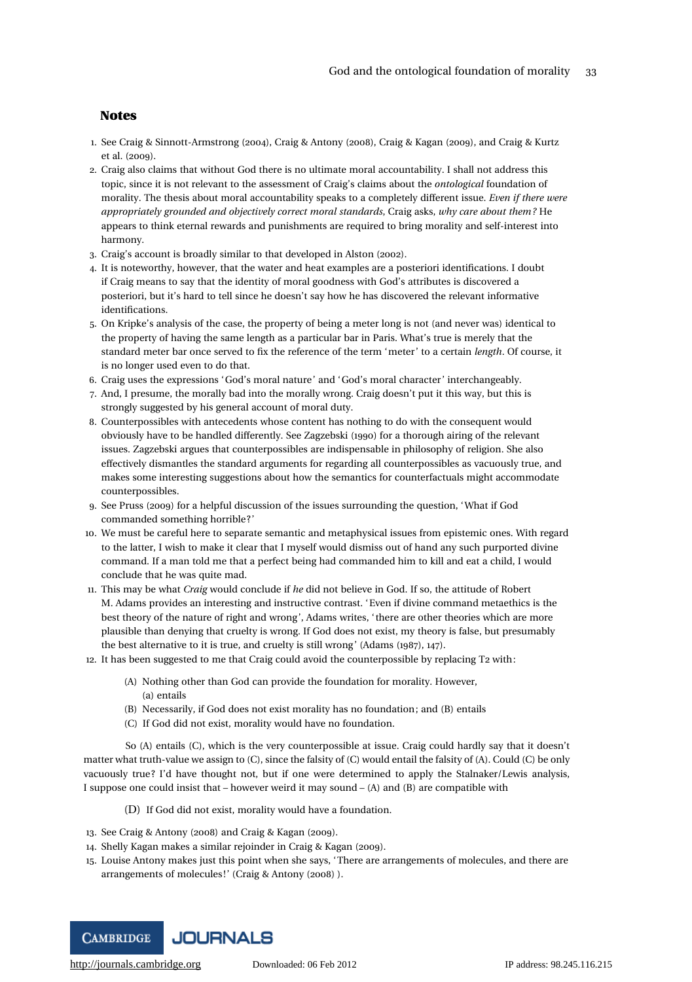# **Notes**

- 1. See Craig & Sinnott-Armstrong (2004), Craig & Antony (2008), Craig & Kagan (2009), and Craig & Kurtz et al. (2009).
- 2. Craig also claims that without God there is no ultimate moral accountability. I shall not address this topic, since it is not relevant to the assessment of Craig's claims about the ontological foundation of morality. The thesis about moral accountability speaks to a completely different issue. Even if there were appropriately grounded and objectively correct moral standards, Craig asks, why care about them? He appears to think eternal rewards and punishments are required to bring morality and self-interest into harmony.
- 3. Craig's account is broadly similar to that developed in Alston (2002).
- 4. It is noteworthy, however, that the water and heat examples are a posteriori identifications. I doubt if Craig means to say that the identity of moral goodness with God's attributes is discovered a posteriori, but it's hard to tell since he doesn't say how he has discovered the relevant informative identifications.
- 5. On Kripke's analysis of the case, the property of being a meter long is not (and never was) identical to the property of having the same length as a particular bar in Paris. What's true is merely that the standard meter bar once served to fix the reference of the term 'meter' to a certain length. Of course, it is no longer used even to do that.
- 6. Craig uses the expressions 'God's moral nature' and 'God's moral character' interchangeably.
- 7. And, I presume, the morally bad into the morally wrong. Craig doesn't put it this way, but this is strongly suggested by his general account of moral duty.
- 8. Counterpossibles with antecedents whose content has nothing to do with the consequent would obviously have to be handled differently. See Zagzebski (1990) for a thorough airing of the relevant issues. Zagzebski argues that counterpossibles are indispensable in philosophy of religion. She also effectively dismantles the standard arguments for regarding all counterpossibles as vacuously true, and makes some interesting suggestions about how the semantics for counterfactuals might accommodate counterpossibles.
- 9. See Pruss (2009) for a helpful discussion of the issues surrounding the question, 'What if God commanded something horrible ?'
- 10. We must be careful here to separate semantic and metaphysical issues from epistemic ones. With regard to the latter, I wish to make it clear that I myself would dismiss out of hand any such purported divine command. If a man told me that a perfect being had commanded him to kill and eat a child, I would conclude that he was quite mad.
- 11. This may be what Craig would conclude if he did not believe in God. If so, the attitude of Robert M. Adams provides an interesting and instructive contrast. 'Even if divine command metaethics is the best theory of the nature of right and wrong', Adams writes, ' there are other theories which are more plausible than denying that cruelty is wrong. If God does not exist, my theory is false, but presumably the best alternative to it is true, and cruelty is still wrong' (Adams (1987), 147).
- 12. It has been suggested to me that Craig could avoid the counterpossible by replacing T2 with:
	- (A) Nothing other than God can provide the foundation for morality. However, (a) entails
	- (B) Necessarily, if God does not exist morality has no foundation; and (B) entails
	- (C) If God did not exist, morality would have no foundation.

So (A) entails (C), which is the very counterpossible at issue. Craig could hardly say that it doesn't matter what truth-value we assign to (C), since the falsity of (C) would entail the falsity of (A). Could (C) be only vacuously true? I'd have thought not, but if one were determined to apply the Stalnaker/Lewis analysis, I suppose one could insist that – however weird it may sound – (A) and (B) are compatible with

- (D) If God did not exist, morality would have a foundation.
- 13. See Craig & Antony (2008) and Craig & Kagan (2009).
- 14. Shelly Kagan makes a similar rejoinder in Craig & Kagan (2009).
- 15. Louise Antony makes just this point when she says, 'There are arrangements of molecules, and there are arrangements of molecules!' (Craig & Antony (2008) ).